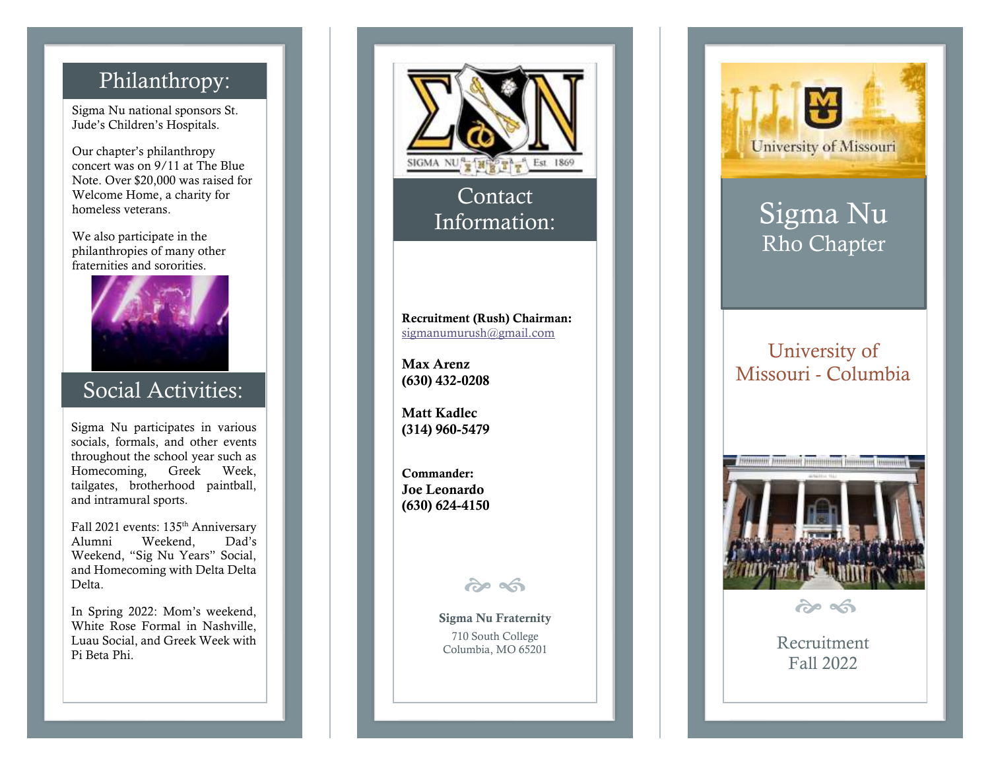## Philanthropy:

Sigma Nu national sponsor s St. Jude's Children's Hospitals.

Our chapter's philanthropy concert was on 9/11 at The Blue Note. Over \$20,000 was raised for Welcome Home, a charity for homeless veterans. We also participate in the

philanthropies o f many other fraternities and sororities.



### Social Activities:

Sigma Nu participates in various socials, formals , and other events throughout the school year such as Homecoming, Greek Week, tailgates, brotherhood paintball, and intramural sports.

Fall 2021 events: 135<sup>th</sup> Anniversary Alumni Weekend, Dad's Weekend, "Sig Nu Years" Social, and Homecoming with Delta Delta Delta.

In Spring 2022: Mom's weekend, White Rose Formal in Nashville, Luau Social, and Greek Week with Pi Beta Phi.